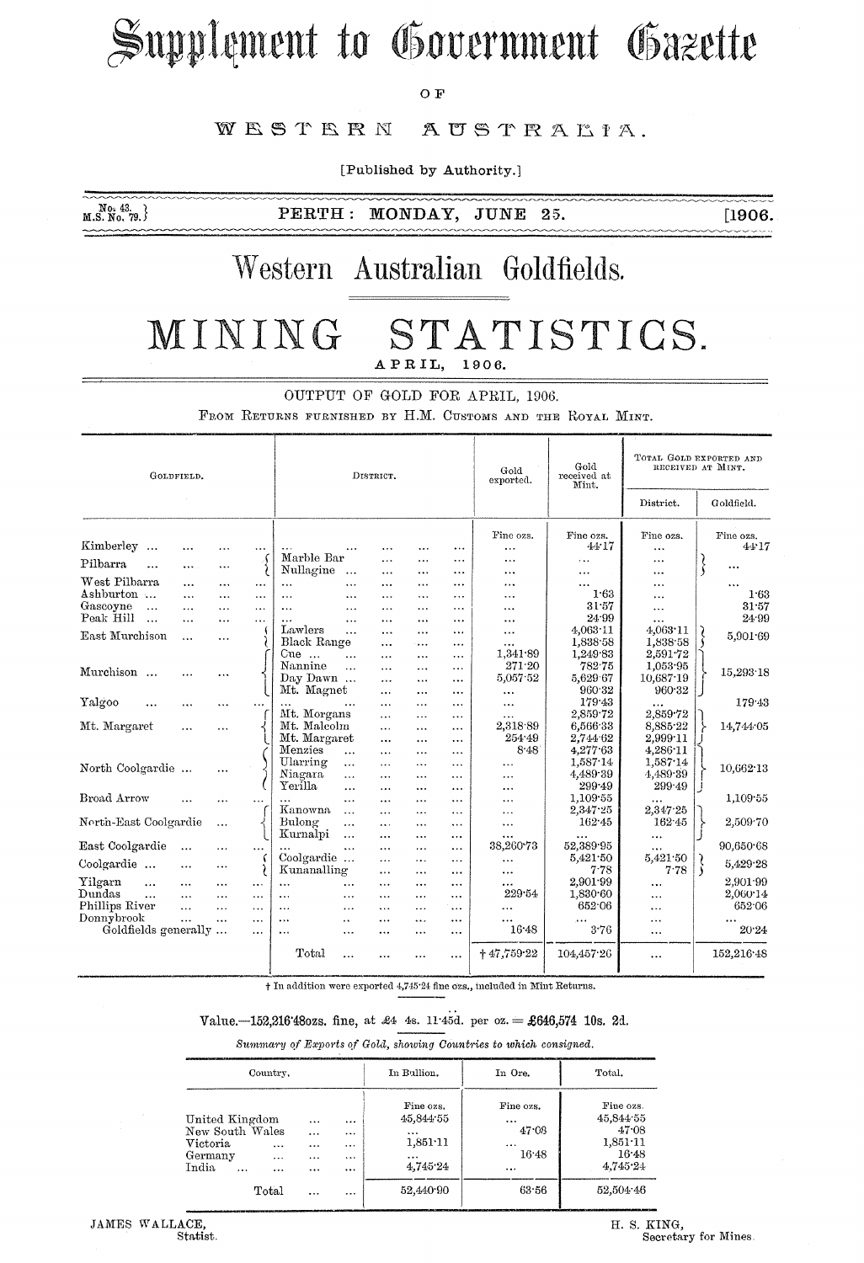# Supplement to Government Gazette

O F

#### WESTERN AUSTRALIA.

[Published by Authority.]

 $M_{.S. N0. 79.}^{N_{.43}}$ 

 $PERTH:$ MONDAY, JUNE 25.

 $[1906.$ بالمالمالمان

## Western Australian Goldfields.

#### ST MINING ATISTICS. APRIL, 1906.

OUTPUT OF GOLD FOR APRIL, 1906.

FROM RETURNS FURNISHED BY H.M. CUSTOMS AND THE ROYAL MINT.

| GOLDFIELD.                     |                       |           |                       | DISTRICT.               |                                   |                       |                          |                       | Gold<br>exported.      | Gold<br>received at<br>Mint. | TOTAL GOLD EXPORTED AND<br>RECEIVED AT MINT. |                    |
|--------------------------------|-----------------------|-----------|-----------------------|-------------------------|-----------------------------------|-----------------------|--------------------------|-----------------------|------------------------|------------------------------|----------------------------------------------|--------------------|
|                                |                       |           |                       |                         |                                   |                       |                          |                       |                        |                              | District.                                    | Goldfield.         |
| Kimberley<br>$\ddotsc$         | $\cdots$              |           |                       |                         |                                   |                       | .                        | $\ddotsc$             | Fine ozs.<br>$\ddotsc$ | Fine ozs.<br>44.17           | Fine ozs.<br>.                               | Fine ozs.<br>44.17 |
| Pilbarra<br>$\ddotsc$          | $\cdots$              | .         | $\{$                  | Marble Bar<br>Nullagine | $\ddotsc$                         | .                     |                          | $\cdots$<br>$\cdots$  | $\ddotsc$              | $\cdots$                     |                                              | $\cdots$<br>\$     |
| West Pilbarra                  |                       |           | $\cdots$              | $\ddotsc$               | $\cdots$                          | <br>$\ddotsc$         | $\cdots$<br>.            | $\sim$ $\sim$         | $\ddotsc$<br>.         | <br>$\cdots$                 | .<br>.                                       | $\cdots$           |
| Ashburton                      | $\cdots$              | .         | $\cdots$              |                         | $\cdots$                          | $\cdots$              | $\overline{\phantom{a}}$ |                       | $\ddotsc$              | 1.63                         | .                                            | 1.63               |
| Gascoyne<br>$\ddotsc$          | $\cdots$              | .         | $\cdots$              | $\cdots$                | $\cdots$                          | .                     | .                        | $\ddotsc$             | $\ddotsc$              | 31.57                        | $\cdots$                                     | 31.57              |
| Peak Hill<br>$\ddotsc$         | $\cdots$              | $\ddotsc$ | $\ddotsc$             |                         | $\cdots$                          | $\ddotsc$             | $\cdots$                 | $\ddotsc$             |                        | 24.99                        | $\cdots$                                     | 24.99              |
| East Murchison                 | $\ddotsc$             | $\ddotsc$ |                       | Lawlers                 | $\ddotsc$                         | $\cdots$              | .                        | $\cdots$              | $\cdots$               | $4,063 \cdot 11$             | $4,063 \cdot 11$                             | 5.901.69           |
|                                |                       |           |                       | Black Range<br>Cue      |                                   | .                     | $\ldots$                 | $\ddotsc$             | $\ddotsc$<br>1,341.89  | 1,838.58<br>1,249.83         | 1,838.58<br>2,591.72                         |                    |
|                                |                       |           |                       | Nannine                 | $\cdots$                          |                       | .                        | $\cdots$              | 271.20                 | 782.75                       | 1.053.95                                     |                    |
| Murchison                      |                       | .         |                       | Day Dawn                | $\ddotsc$                         | $\ddotsc$             | .                        | $\cdots$              | 5,057.52               | 5,629 67                     | 10,687.19                                    | 15,293.18          |
|                                |                       |           |                       | Mt. Magnet              |                                   | $\cdots$<br>$\ddotsc$ | $\cdots$<br>$\cdots$     | $\cdots$<br>$\ddotsc$ | $\cdots$               | 960.32                       | 960.32                                       |                    |
| Yalgoo                         | .                     | .         |                       |                         |                                   | $\cdots$              | .                        |                       |                        | 179.43                       |                                              | 179.43             |
|                                |                       |           |                       | Mt. Morgans             |                                   | $\cdots$              | .                        | $\cdots$              | .                      | 2.859.72                     | 2.859.72                                     |                    |
| Mt. Margaret                   |                       | $\cdots$  |                       | Mt. Malcolm             |                                   | $\cdots$              | $\cdots$                 | $\cdots$              | 2,318.89               | 6,566.33                     | 8,885.22                                     | 14,744 05          |
|                                |                       |           |                       | Mt. Margaret            |                                   | $\cdots$              | $\ddotsc$                | $\cdots$              | 254.49                 | 2,744.62                     | 2,999.11                                     |                    |
|                                |                       |           |                       | Menzies                 | $\cdots$                          | $\cdots$              | $\cdots$                 | $\overline{a}$        | 8.48                   | 4,277.63                     | $4,286$ $11$                                 |                    |
| North Coolgardie               |                       |           |                       | Ularring                | $\ddotsc$                         | $\cdots$              | $\ddotsc$                | $\cdots$              | .                      | 1,587.14                     | 1,587.14                                     | 10,662.13          |
|                                |                       |           |                       | Niagara                 | $\cdots$                          |                       |                          | $\cdots$              | .                      | 4,489.39                     | 4,489.39                                     |                    |
|                                |                       |           |                       | Yerilla                 | $\ddotsc$                         | $\cdots$              | $\ddotsc$                | $\overline{a}$        | $\ddotsc$              | 299.49                       | 299.49                                       |                    |
| Broad Arrow                    |                       | .         | $\ddotsc$             |                         | $\ddotsc$                         | $\ddotsc$             | $\overline{a}$           |                       | $\cdots$               | 1,109.55                     | $\cdots$                                     | 1,109.55           |
|                                |                       |           |                       | Kanowna                 | $\ddotsc$                         | $\cdots$              | $\ddotsc$                | $\cdots$              | .                      | 2,347.25                     | 2,347.25                                     |                    |
| North-East Coolgardie          |                       | $\cdots$  |                       | Bulong                  | $\cdots$                          | $\overline{a}$        | $\ddotsc$                |                       | .                      | 162.45                       | 162.45                                       | 2,509.70           |
|                                |                       |           |                       | Kurnalpi                | $\ddotsc$                         |                       | $\ddotsc$                | $\cdots$              |                        |                              | $\cdots$                                     |                    |
| East Coolgardie                | $\cdots$              | $\cdots$  | $\cdots$              |                         | $\cdots$                          | $\cdots$              | $\ddotsc$                | $\ddotsc$             | 38,260.73              | 52,389.95                    | $\cdots$                                     | 90,650.68          |
| Coolgardie                     |                       | $\cdots$  |                       | Coolgardie              |                                   | $\cdots$              | $\ddotsc$                | $\cdots$              | .                      | 5,421.50                     | 5,421.50                                     | 5,429.28           |
|                                |                       |           |                       | Kunanalling             |                                   | $\cdots$              | $\cdots$                 | $\ddotsc$             | .                      | 7.78                         | 7.78                                         |                    |
| Yilgarn<br>$\ddotsc$<br>Dundas | $\cdots$              | $\ddotsc$ | $\ldots$              | $\cdots$                | $\cdots$                          | $\cdots$              | $\cdots$                 | $\cdots$              | <br>229.54             | 2.901.99                     |                                              | 2.901.99           |
| $\cdots$<br>Phillips River     | $\cdots$              |           | $\cdots$              | $\cdots$                | $\cdots$                          |                       | $\cdots$                 | $\cdots$              |                        | 1,830.60<br>652.06           | .                                            | 2,060.14<br>652.06 |
| Donnybrook                     | $\cdots$<br>$\ddotsc$ | $\ddotsc$ | $\cdots$              | $\ddotsc$               | $\cdots$                          | $\cdots$              | $\ddotsc$                | $\cdots$              |                        |                              | $\cdots$                                     |                    |
| Goldfields generally           |                       | $\ddotsc$ | $\ddotsc$<br>$\cdots$ | $\cdots$<br>$\cdots$    | $\ddot{\phantom{a}}$<br>$\ddotsc$ | $\cdots$<br>$\cdots$  | <br>$\cdots$             | $\cdots$<br>$\cdots$  | <br>16.48              | 3.76                         | <br>$\cdots$                                 | <br>20.24          |
|                                |                       |           |                       |                         |                                   |                       |                          |                       |                        |                              |                                              |                    |
|                                |                       |           |                       | Total                   |                                   |                       |                          | $\cdots$              | $+47,759.22$           | 104,457.26                   |                                              | 152,216.48         |

† In addition were exported 4,745'24 fine ozs., included in Mint Returns.

#### Value. -152,216'480zs. fine, at £4 4s. 11'45d. per oz. = £646,574 10s. 2d.

Summary of Exports of Gold, showing Countries to which consigned.

| Country,                                                                                                          |                                           |                          | In Bullion.                                                     | In Ore.                                                 | Total.                                                           |  |
|-------------------------------------------------------------------------------------------------------------------|-------------------------------------------|--------------------------|-----------------------------------------------------------------|---------------------------------------------------------|------------------------------------------------------------------|--|
| United Kingdom<br>New South Wales<br>Victoria<br>$\cdots$<br>Germany<br>$\cdots$<br>India<br>$\cdots$<br>$\cdots$ | $\cdots$<br>$\ddotsc$<br>$\cdots$<br><br> | <br>$\cdots$<br><br><br> | Fine ozs.<br>45,844.55<br>$\ddotsc$<br>1.851:11<br><br>4.745.24 | Fine ozs.<br>$\cdots$<br>47.08<br><br>16.48<br>$\cdots$ | Fine ozs.<br>45,844 55<br>47.08<br>1,851.11<br>16.48<br>4,745.24 |  |
| Total                                                                                                             | $\sim$ $\sim$ $\sim$                      |                          | 52,440.90                                                       | 63.56                                                   | 52,504.46                                                        |  |